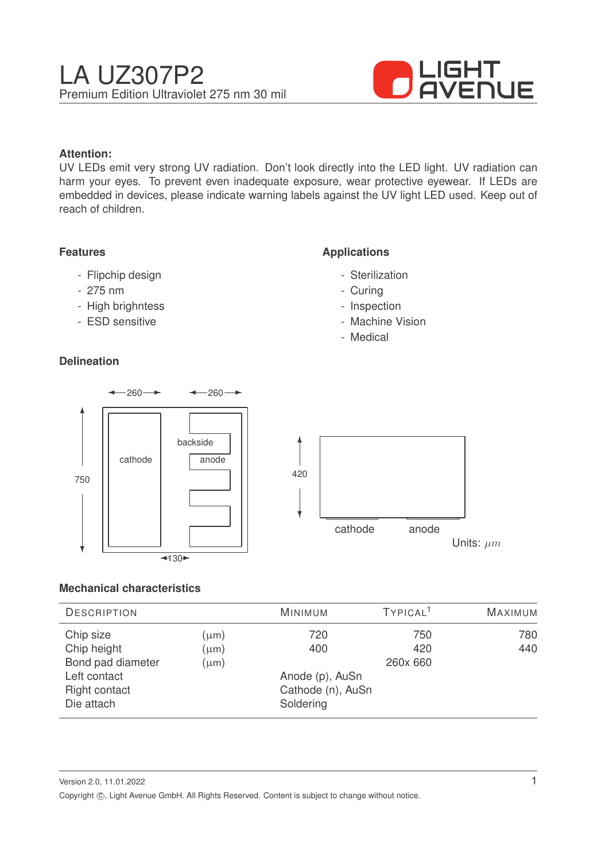

### **Attention:**

UV LEDs emit very strong UV radiation. Don't look directly into the LED light. UV radiation can harm your eyes. To prevent even inadequate exposure, wear protective eyewear. If LEDs are embedded in devices, please indicate warning labels against the UV light LED used. Keep out of reach of children.

#### **Features**

- Flipchip design
- 275 nm
- High brighntess
- ESD sensitive

### **Delineation**

### **Applications**

- Sterilization
- Curing
- Inspection
- Machine Vision
- Medical



#### **Mechanical characteristics**

| <b>DESCRIPTION</b> |           | <b>MINIMUM</b>    | TYPICAL <sup>1</sup> | <b>MAXIMUM</b> |
|--------------------|-----------|-------------------|----------------------|----------------|
| Chip size          | $(\mu m)$ | 720               | 750                  | 780            |
| Chip height        | $(\mu m)$ | 400               | 420                  | 440            |
| Bond pad diameter  | $(\mu m)$ |                   | 260x 660             |                |
| Left contact       |           | Anode (p), AuSn   |                      |                |
| Right contact      |           | Cathode (n), AuSn |                      |                |
| Die attach         |           | Soldering         |                      |                |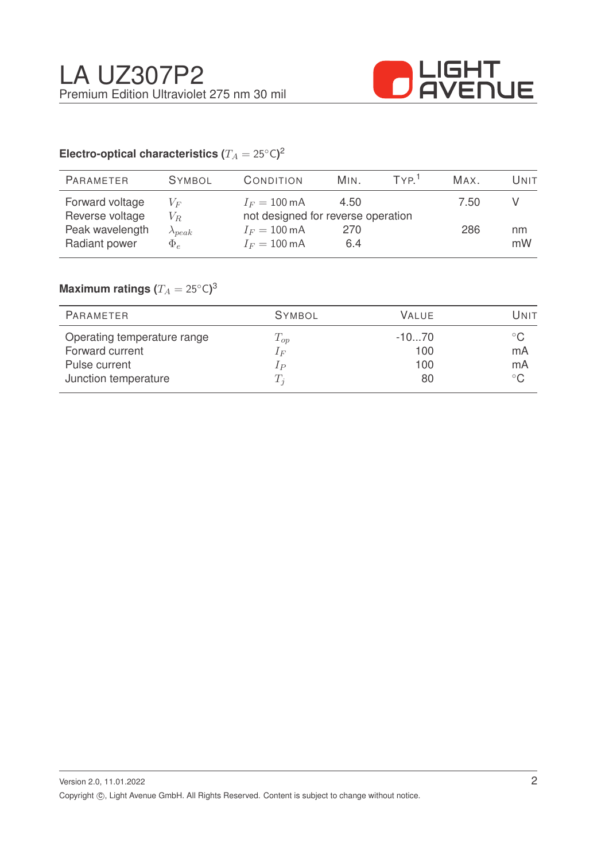

# Electro-optical characteristics ( $T_A = 25^{\circ} \text{C}$ )<sup>2</sup>

| PARAMETER       | <b>SYMBOL</b>    | CONDITION                          | MIN. | TYP <sup>1</sup> | MAX. | UNIT |
|-----------------|------------------|------------------------------------|------|------------------|------|------|
| Forward voltage | $V_F$            | $I_F = 100 \text{ mA}$             | 4.50 |                  | 7.50 |      |
| Reverse voltage | $V_R$            | not designed for reverse operation |      |                  |      |      |
| Peak wavelength | $\lambda_{peak}$ | $I_F = 100 \text{ mA}$             | 270  |                  | 286  | nm   |
| Radiant power   | $\Phi_e$         | $I_F = 100 \text{ mA}$             | 6.4  |                  |      | mW   |
|                 |                  |                                    |      |                  |      |      |

## $\mathsf{Maximum}$  ratings  $(T_A = 25^{\circ} \mathsf{C})^3$

| PARAMETER                   | <b>SYMBOL</b> | <b>VALUE</b> | UNIT          |
|-----------------------------|---------------|--------------|---------------|
| Operating temperature range | $T_{op}$      | $-1070$      | $^{\circ}$ C. |
| Forward current             | $I_F$         | 100          | mA            |
| Pulse current               | $1_{P}$       | 100          | mA            |
| Junction temperature        | $T_i$         | 80           | $^{\circ}$ C  |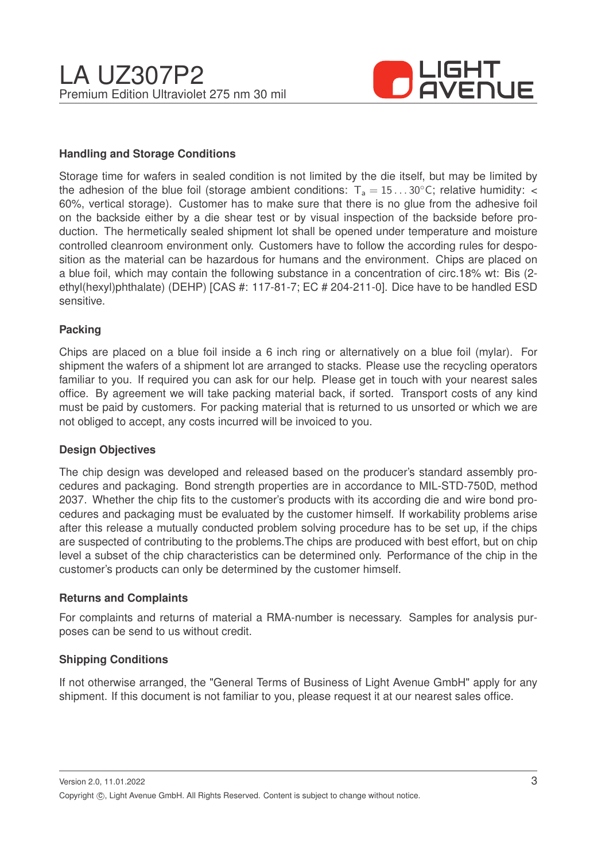

#### **Handling and Storage Conditions**

Storage time for wafers in sealed condition is not limited by the die itself, but may be limited by the adhesion of the blue foil (storage ambient conditions:  $T_a = 15...30^{\circ}$ C; relative humidity: < 60%, vertical storage). Customer has to make sure that there is no glue from the adhesive foil on the backside either by a die shear test or by visual inspection of the backside before production. The hermetically sealed shipment lot shall be opened under temperature and moisture controlled cleanroom environment only. Customers have to follow the according rules for desposition as the material can be hazardous for humans and the environment. Chips are placed on a blue foil, which may contain the following substance in a concentration of circ.18% wt: Bis (2 ethyl(hexyl)phthalate) (DEHP) [CAS #: 117-81-7; EC # 204-211-0]. Dice have to be handled ESD sensitive.

#### **Packing**

Chips are placed on a blue foil inside a 6 inch ring or alternatively on a blue foil (mylar). For shipment the wafers of a shipment lot are arranged to stacks. Please use the recycling operators familiar to you. If required you can ask for our help. Please get in touch with your nearest sales office. By agreement we will take packing material back, if sorted. Transport costs of any kind must be paid by customers. For packing material that is returned to us unsorted or which we are not obliged to accept, any costs incurred will be invoiced to you.

#### **Design Objectives**

The chip design was developed and released based on the producer's standard assembly procedures and packaging. Bond strength properties are in accordance to MIL-STD-750D, method 2037. Whether the chip fits to the customer's products with its according die and wire bond procedures and packaging must be evaluated by the customer himself. If workability problems arise after this release a mutually conducted problem solving procedure has to be set up, if the chips are suspected of contributing to the problems.The chips are produced with best effort, but on chip level a subset of the chip characteristics can be determined only. Performance of the chip in the customer's products can only be determined by the customer himself.

#### **Returns and Complaints**

For complaints and returns of material a RMA-number is necessary. Samples for analysis purposes can be send to us without credit.

#### **Shipping Conditions**

If not otherwise arranged, the "General Terms of Business of Light Avenue GmbH" apply for any shipment. If this document is not familiar to you, please request it at our nearest sales office.

Version 2.0, 11.01.2022 Copyright ©, Light Avenue GmbH. All Rights Reserved. Content is subject to change without notice.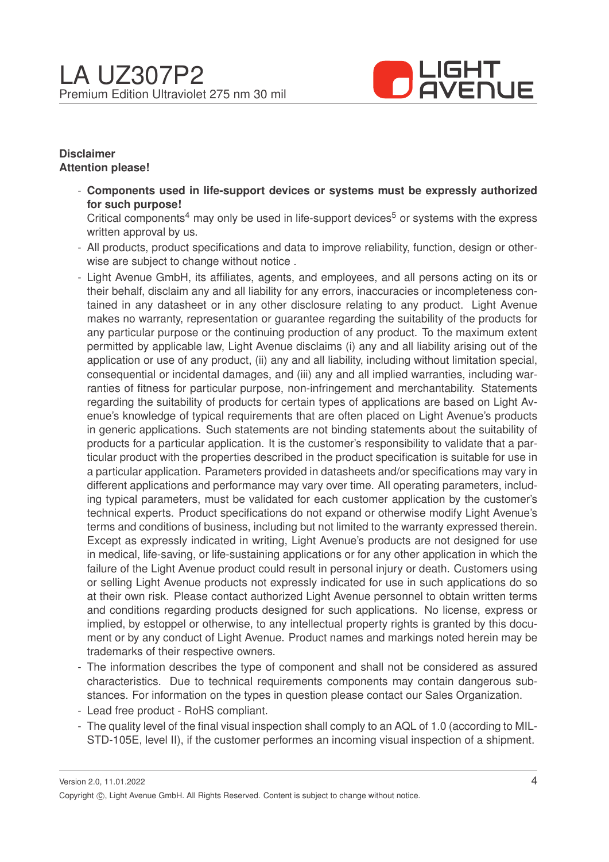

#### **Disclaimer Attention please!**

- **Components used in life-support devices or systems must be expressly authorized for such purpose!**

Critical components<sup>4</sup> may only be used in life-support devices<sup>5</sup> or systems with the express written approval by us.

- All products, product specifications and data to improve reliability, function, design or otherwise are subject to change without notice .
- Light Avenue GmbH, its affiliates, agents, and employees, and all persons acting on its or their behalf, disclaim any and all liability for any errors, inaccuracies or incompleteness contained in any datasheet or in any other disclosure relating to any product. Light Avenue makes no warranty, representation or guarantee regarding the suitability of the products for any particular purpose or the continuing production of any product. To the maximum extent permitted by applicable law, Light Avenue disclaims (i) any and all liability arising out of the application or use of any product, (ii) any and all liability, including without limitation special, consequential or incidental damages, and (iii) any and all implied warranties, including warranties of fitness for particular purpose, non-infringement and merchantability. Statements regarding the suitability of products for certain types of applications are based on Light Avenue's knowledge of typical requirements that are often placed on Light Avenue's products in generic applications. Such statements are not binding statements about the suitability of products for a particular application. It is the customer's responsibility to validate that a particular product with the properties described in the product specification is suitable for use in a particular application. Parameters provided in datasheets and/or specifications may vary in different applications and performance may vary over time. All operating parameters, including typical parameters, must be validated for each customer application by the customer's technical experts. Product specifications do not expand or otherwise modify Light Avenue's terms and conditions of business, including but not limited to the warranty expressed therein. Except as expressly indicated in writing, Light Avenue's products are not designed for use in medical, life-saving, or life-sustaining applications or for any other application in which the failure of the Light Avenue product could result in personal injury or death. Customers using or selling Light Avenue products not expressly indicated for use in such applications do so at their own risk. Please contact authorized Light Avenue personnel to obtain written terms and conditions regarding products designed for such applications. No license, express or implied, by estoppel or otherwise, to any intellectual property rights is granted by this document or by any conduct of Light Avenue. Product names and markings noted herein may be trademarks of their respective owners.
- The information describes the type of component and shall not be considered as assured characteristics. Due to technical requirements components may contain dangerous substances. For information on the types in question please contact our Sales Organization.
- Lead free product RoHS compliant.
- The quality level of the final visual inspection shall comply to an AQL of 1.0 (according to MIL-STD-105E, level II), if the customer performes an incoming visual inspection of a shipment.